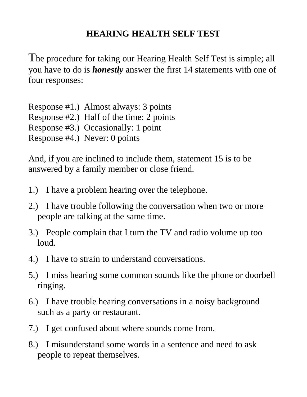## **HEARING HEALTH SELF TEST**

The procedure for taking our Hearing Health Self Test is simple; all you have to do is *honestly* answer the first 14 statements with one of four responses:

Response #1.) Almost always: 3 points Response #2.) Half of the time: 2 points Response #3.) Occasionally: 1 point Response #4.) Never: 0 points

And, if you are inclined to include them, statement 15 is to be answered by a family member or close friend.

- 1.) I have a problem hearing over the telephone.
- 2.) I have trouble following the conversation when two or more people are talking at the same time.
- 3.) People complain that I turn the TV and radio volume up too loud.
- 4.) I have to strain to understand conversations.
- 5.) I miss hearing some common sounds like the phone or doorbell ringing.
- 6.) I have trouble hearing conversations in a noisy background such as a party or restaurant.
- 7.) I get confused about where sounds come from.
- 8.) I misunderstand some words in a sentence and need to ask people to repeat themselves.